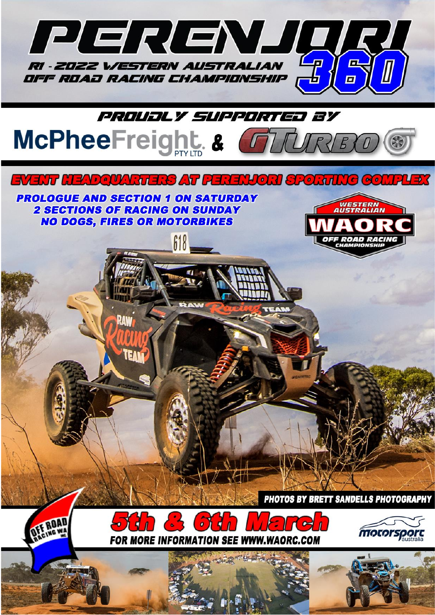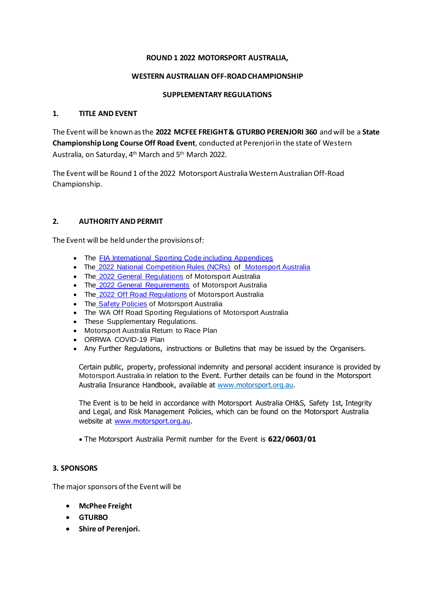#### **ROUND 1 2022 MOTORSPORT AUSTRALIA,**

#### **WESTERN AUSTRALIAN OFF-ROADCHAMPIONSHIP**

#### **SUPPLEMENTARY REGULATIONS**

#### **1. TITLE AND EVENT**

The Event will be known as the **2022 MCFEE FREIGHT& GTURBO PERENJORI 360** and will be a **State Championship Long Course Off Road Event**, conducted at Perenjori in the state of Western Australia, on Saturday, 4<sup>th</sup> March and 5<sup>th</sup> March 2022.

The Event will be Round 1 of the 2022 Motorsport Australia Western Australian Off-Road Championship.

#### **2. AUTHORITY AND PERMIT**

The Event will be held under the provisions of:

- The FIA International Sporting Code including Appendices
- The 2022 National Competition Rules (NCRs) of Motorsport Australia
- The 2022 General Regulations of Motorsport Australia
- The 2022 General Requirements of Motorsport Australia
- The 2022 Off Road Regulations of Motorsport Australia
- The Safety Policies of Motorsport Australia
- The WA Off Road Sporting Regulations of Motorsport Australia
- These Supplementary Regulations.
- Motorsport Australia Return to Race Plan
- ORRWA COVID-19 Plan
- Any Further Regulations, instructions or Bulletins that may be issued by the Organisers.

Certain public, property, professional indemnity and personal accident insurance is provided by Motorsport Australia in relation to the Event. Further details can be found in the Motorsport Australia Insurance Handbook, available at www.motorsport.org.au.

The Event is to be held in accordance with Motorsport Australia OH&S, Safety 1st, Integrity and Legal, and Risk Management Policies, which can be found on the Motorsport Australia website at [www.motorsport.org.au.](http://www.motorsport.org.au/)

• The Motorsport Australia Permit number for the Event is **622/0603/01**

#### **3. SPONSORS**

The major sponsors of the Event will be

- **McPhee Freight**
- **GTURBO**
- **Shire of Perenjori.**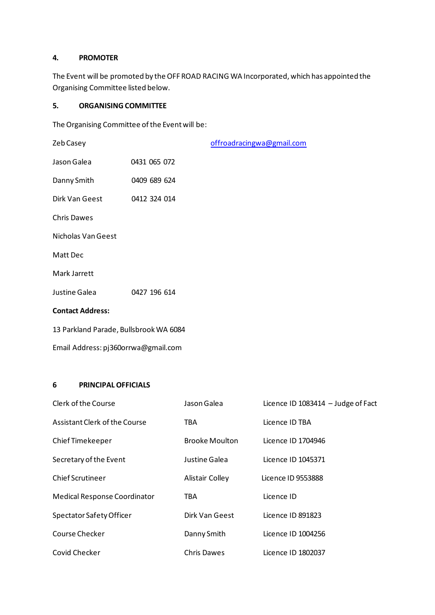# **4. PROMOTER**

The Event will be promoted by the OFF ROAD RACING WA Incorporated, which has appointed the Organising Committee listed below.

#### **5. ORGANISING COMMITTEE**

The Organising Committee of the Event will be:

| Zeb Casey               |                                        | offroadracingwa@gmail.com |  |  |  |  |  |  |
|-------------------------|----------------------------------------|---------------------------|--|--|--|--|--|--|
| Jason Galea             | 0431 065 072                           |                           |  |  |  |  |  |  |
| Danny Smith             | 0409 689 624                           |                           |  |  |  |  |  |  |
| Dirk Van Geest          | 0412 324 014                           |                           |  |  |  |  |  |  |
| <b>Chris Dawes</b>      |                                        |                           |  |  |  |  |  |  |
| Nicholas Van Geest      |                                        |                           |  |  |  |  |  |  |
| Matt Dec                |                                        |                           |  |  |  |  |  |  |
| Mark Jarrett            |                                        |                           |  |  |  |  |  |  |
| Justine Galea           | 0427 196 614                           |                           |  |  |  |  |  |  |
| <b>Contact Address:</b> |                                        |                           |  |  |  |  |  |  |
|                         | 13 Parkland Parade, Bullsbrook WA 6084 |                           |  |  |  |  |  |  |

# Email Address: pj360orrwa@gmail.com

# **6 PRINCIPAL OFFICIALS**

| Clerk of the Course                 | Jason Galea           | Licence ID 1083414 $-$ Judge of Fact |
|-------------------------------------|-----------------------|--------------------------------------|
| Assistant Clerk of the Course       | TBA                   | Licence ID TBA                       |
| Chief Timekeeper                    | <b>Brooke Moulton</b> | Licence ID 1704946                   |
| Secretary of the Event              | Justine Galea         | Licence ID 1045371                   |
| <b>Chief Scrutineer</b>             | Alistair Colley       | Licence ID 9553888                   |
| <b>Medical Response Coordinator</b> | TBA                   | Licence ID                           |
| Spectator Safety Officer            | Dirk Van Geest        | Licence ID 891823                    |
| Course Checker                      | Danny Smith           | Licence ID 1004256                   |
| Covid Checker                       | <b>Chris Dawes</b>    | Licence ID 1802037                   |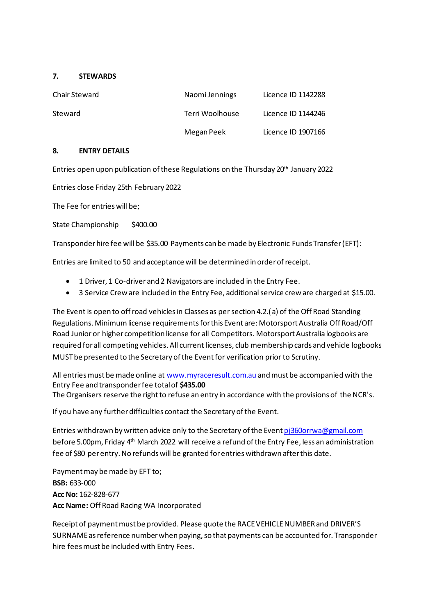#### **7. STEWARDS**

| <b>Chair Steward</b> | Naomi Jennings  | Licence ID 1142288 |
|----------------------|-----------------|--------------------|
| Steward              | Terri Woolhouse | Licence ID 1144246 |
|                      | Megan Peek      | Licence ID 1907166 |

#### **8. ENTRY DETAILS**

Entries open upon publication of these Regulations on the Thursday  $20^{th}$  January 2022

Entries close Friday 25th February 2022

The Fee for entries will be;

State Championship \$400.00

Transponder hire fee will be \$35.00 Payments can be made by Electronic Funds Transfer (EFT):

Entries are limited to 50 and acceptance will be determined in order of receipt.

- 1 Driver, 1 Co-driver and 2 Navigators are included in the Entry Fee.
- 3 Service Crew are included in the Entry Fee, additional service crew are charged at \$15.00.

The Event is open to off road vehicles in Classes as per section 4.2.(a) of the Off Road Standing Regulations. Minimum license requirements for this Event are: Motorsport Australia Off Road/Off Road Junior or higher competition license for all Competitors. Motorsport Australia logbooks are required for all competing vehicles. All current licenses, club membership cards and vehicle logbooks MUST be presented to the Secretary of the Eventfor verification prior to Scrutiny.

All entries must be made online at [www.myraceresult.com.au](http://www.myraceresult.com.au/) and must be accompanied with the Entry Fee and transponder fee totalof **\$435.00** The Organisers reserve the right to refuse an entry in accordance with the provisions of the NCR's.

If you have any further difficulties contact the Secretary of the Event.

Entries withdrawn by written advice only to the Secretary of the Event [pj360orrwa@gmail.com](mailto:pj360orrwa@gmail.com) before 5.00pm, Friday 4<sup>th</sup> March 2022 will receive a refund of the Entry Fee, less an administration fee of \$80 per entry. No refunds will be granted for entries withdrawn after this date.

Payment may be made by EFT to; **BSB:** 633-000 **Acc No:** 162-828-677 **Acc Name:** Off Road Racing WA Incorporated

Receipt of payment must be provided. Please quote the RACE VEHICLE NUMBER and DRIVER'S SURNAME as reference number when paying, so that payments can be accounted for. Transponder hire fees must be included with Entry Fees.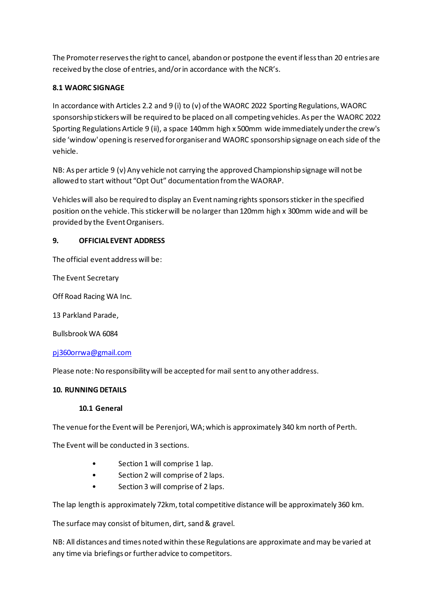The Promoter reserves the right to cancel, abandon or postpone the event if less than 20 entries are received by the close of entries, and/or in accordance with the NCR's.

# **8.1 WAORC SIGNAGE**

In accordance with Articles 2.2 and 9 (i) to (v) of the WAORC 2022 Sporting Regulations, WAORC sponsorship stickers will be required to be placed on all competing vehicles. As per the WAORC 2022 Sporting Regulations Article 9 (ii), a space 140mm high x 500mm wide immediately under the crew's side 'window' opening is reserved for organiser and WAORC sponsorship signage on each side of the vehicle.

NB: As per article 9 (v) Any vehicle not carrying the approved Championship signage will not be allowed to start without "Opt Out" documentation from the WAORAP.

Vehicles will also be required to display an Event naming rights sponsors sticker in the specified position on the vehicle. This sticker will be no larger than 120mm high x 300mm wide and will be provided by the Event Organisers.

# **9. OFFICIAL EVENT ADDRESS**

The official event address will be:

The Event Secretary

Off Road Racing WA Inc.

13 Parkland Parade,

Bullsbrook WA 6084

# [pj360orrwa@gmail.com](mailto:offroadracingwa@gmail.com)

Please note: No responsibility will be accepted for mail sent to any other address.

# **10. RUNNING DETAILS**

# **10.1 General**

The venue for the Event will be Perenjori, WA; which is approximately 340 km north of Perth.

The Event will be conducted in 3 sections.

- Section 1 will comprise 1 lap.
- Section 2 will comprise of 2 laps.
- Section 3 will comprise of 2 laps.

The lap length is approximately 72km, total competitive distance will be approximately 360 km.

The surface may consist of bitumen, dirt, sand & gravel.

NB: All distances and times noted within these Regulations are approximate andmay be varied at any time via briefings or further advice to competitors.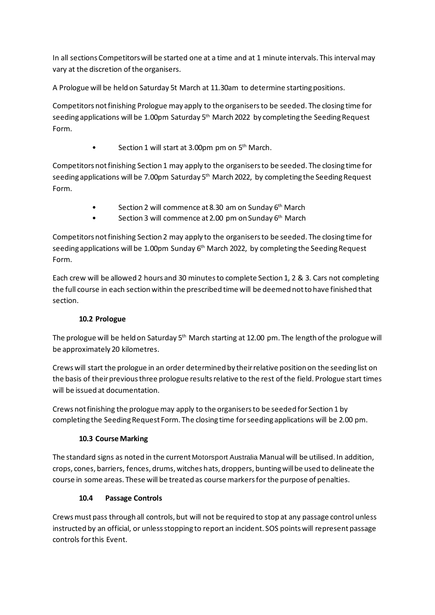In all sections Competitors will be started one at a time and at 1 minute intervals. This interval may vary at the discretion of the organisers.

A Prologue will be held on Saturday 5t March at 11.30am to determine starting positions.

Competitors not finishing Prologue may apply to the organisers to be seeded. The closing time for seeding applications will be 1.00pm Saturday 5<sup>th</sup> March 2022 by completing the Seeding Request Form.

• Section 1 will start at 3.00pm pm on 5<sup>th</sup> March.

Competitors not finishing Section 1 may apply to the organisers to be seeded. The closing time for seeding applications will be 7.00pm Saturday  $5<sup>th</sup>$  March 2022, by completing the Seeding Request Form.

- Section 2 will commence at 8.30 am on Sunday 6<sup>th</sup> March
- Section 3 will commence at 2.00 pm on Sunday 6<sup>th</sup> March

Competitors not finishing Section 2 may apply to the organisers to be seeded. The closing time for seeding applications will be 1.00pm Sunday 6<sup>th</sup> March 2022, by completing the Seeding Request Form.

Each crew will be allowed 2 hours and 30 minutes to complete Section 1, 2 & 3. Cars not completing the full course in each section within the prescribed time will be deemed not to have finished that section.

# **10.2 Prologue**

The prologue will be held on Saturday 5<sup>th</sup> March starting at 12.00 pm. The length of the prologue will be approximately 20 kilometres.

Crews will start the prologue in an order determined by their relative position on the seeding list on the basis of their previous three prologue results relative to the rest of the field. Prologue start times will be issued at documentation.

Crews not finishing the prologue may apply to the organisers to be seeded for Section 1 by completing the Seeding Request Form. The closing time for seeding applications will be 2.00 pm.

# **10.3 Course Marking**

The standard signs as noted in the current Motorsport Australia Manual will be utilised. In addition, crops, cones, barriers, fences, drums, witches hats, droppers, bunting will be used to delineate the course in some areas. These will be treated as course markers for the purpose of penalties.

# **10.4 Passage Controls**

Crews must pass through all controls, but will not be required to stop at any passage control unless instructed by an official, or unless stopping to report an incident. SOS points will represent passage controls for this Event.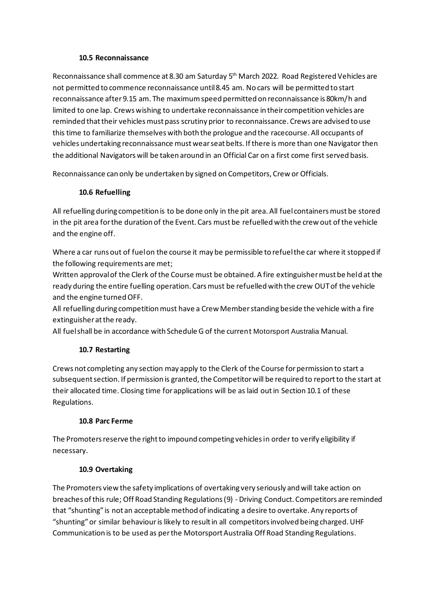#### **10.5 Reconnaissance**

Reconnaissance shall commence at 8.30 am Saturday 5 th March 2022. Road Registered Vehicles are not permitted to commence reconnaissance until 8.45 am. No cars will be permitted to start reconnaissance after 9.15 am. The maximum speed permitted on reconnaissance is 80km/h and limited to one lap. Crews wishing to undertake reconnaissance in their competition vehicles are reminded that their vehicles must pass scrutiny prior to reconnaissance. Crews are advised to use this time to familiarize themselves with both the prologue and the racecourse. All occupants of vehicles undertaking reconnaissance must wear seat belts. If there is more than one Navigator then the additional Navigators will be taken around in an Official Car on a first come first served basis.

Reconnaissance can only be undertaken by signed on Competitors, Crew or Officials.

# **10.6 Refuelling**

All refuelling during competition is to be done only in the pit area. All fuel containers must be stored in the pit area for the duration of the Event. Cars must be refuelled with the crew out of the vehicle and the engine off.

Where a car runs out of fuel on the course it may be permissible to refuel the car where it stopped if the following requirements are met;

Written approval of the Clerk of the Course must be obtained. A fire extinguisher must be held at the ready during the entire fuelling operation. Cars must be refuelled with the crew OUT of the vehicle and the engine turned OFF.

All refuelling during competition must have a Crew Member standing beside the vehicle with a fire extinguisher at the ready.

All fuel shall be in accordance with Schedule G of the current Motorsport Australia Manual.

# **10.7 Restarting**

Crews not completing any section may apply to the Clerk of the Course for permission to start a subsequent section. If permission is granted, the Competitor will be required to report to the start at their allocated time. Closing time for applications will be as laid out in Section 10.1 of these Regulations.

# **10.8 Parc Ferme**

The Promoters reserve the right to impound competing vehicles in order to verify eligibility if necessary.

# **10.9 Overtaking**

The Promoters view the safety implications of overtaking very seriously and will take action on breaches of this rule; Off Road Standing Regulations (9) - Driving Conduct. Competitors are reminded that "shunting" is not an acceptable method of indicating a desire to overtake. Any reports of "shunting" or similar behaviouris likely to result in all competitors involved being charged. UHF Communication is to be used as per the Motorsport Australia Off Road Standing Regulations.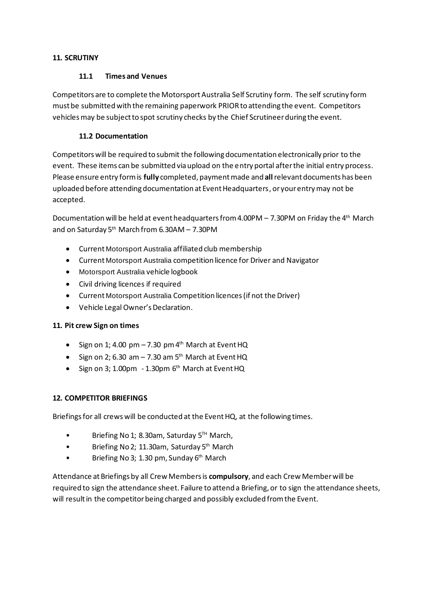# **11. SCRUTINY**

# **11.1 Times and Venues**

Competitors are to complete the Motorsport Australia Self Scrutiny form. The self scrutiny form must be submitted with the remaining paperwork PRIORto attending the event. Competitors vehicles may be subject to spot scrutiny checks by the Chief Scrutineer during the event.

# **11.2 Documentation**

Competitors will be required to submit the following documentation electronically prior to the event. These items can be submitted via upload on the entry portal after the initial entry process. Please ensure entry form is **fully** completed, payment made and **all**relevant documents has been uploaded before attending documentation at Event Headquarters, or your entry may not be accepted.

Documentation will be held at event headquarters from 4.00PM – 7.30PM on Friday the  $4<sup>th</sup>$  March and on Saturday 5<sup>th</sup> March from 6.30AM - 7.30PM

- Current Motorsport Australia affiliated club membership
- Current Motorsport Australia competition licence for Driver and Navigator
- Motorsport Australia vehicle logbook
- Civil driving licences if required
- Current Motorsport Australia Competition licences (if not the Driver)
- Vehicle Legal Owner's Declaration.

# **11. Pit crew Sign on times**

- Sign on 1; 4.00 pm 7.30 pm 4<sup>th</sup> March at Event HQ
- Sign on 2; 6.30 am 7.30 am 5<sup>th</sup> March at Event HQ
- Sign on 3; 1.00pm 1.30pm 6<sup>th</sup> March at Event HQ

# **12. COMPETITOR BRIEFINGS**

Briefings for all crews will be conducted at the Event HQ, at the following times.

- Briefing No 1; 8.30am, Saturday 5<sup>™</sup> March,
- Briefing No 2; 11.30am, Saturday 5<sup>th</sup> March
- Briefing No 3; 1.30 pm, Sunday 6<sup>th</sup> March

Attendance at Briefings by all Crew Members is **compulsory**, and each Crew Member will be required to sign the attendance sheet. Failure to attend a Briefing, or to sign the attendance sheets, will result in the competitor being charged and possibly excluded from the Event.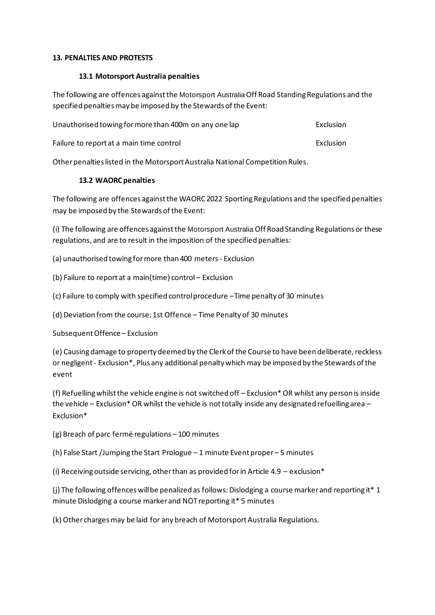#### **13. PENALTIES AND PROTESTS**

#### **13.1 Motorsport Australia penalties**

The following are offences against the Motorsport AustraliaOff Road Standing Regulations and the specified penalties may be imposed by the Stewards of the Event:

| Unauthorised towing for more than 400m on any one lap |           |  |  |  |
|-------------------------------------------------------|-----------|--|--|--|
| Failure to report at a main time control              | Exclusion |  |  |  |

Other penalties listed in the Motorsport Australia National Competition Rules.

# **13.2 WAORC penalties**

The following are offences against the WAORC 2022 Sporting Regulations and the specified penalties may be imposed by the Stewards of the Event:

(i) The following are offences against the Motorsport Australia Off Road Standing Regulations or these regulations, and are to result in the imposition of the specified penalties:

(a) unauthorised towing for more than 400 meters - Exclusion

(b) Failure to report at a main(time) control – Exclusion

(c) Failure to comply with specified control procedure –Time penalty of 30 minutes

(d) Deviation from the course: 1st Offence – Time Penalty of 30 minutes

Subsequent Offence – Exclusion

(e) Causing damage to property deemed by the Clerk of the Course to have been deliberate, reckless or negligent - Exclusion\*, Plus any additional penalty which may be imposed by the Stewards of the event

(f) Refuelling whilst the vehicle engine is not switched off – Exclusion\* OR whilst any person is inside the vehicle – Exclusion\* OR whilst the vehicle is not totally inside any designated refuelling area – Exclusion\*

(g) Breach of parc fermé regulations – 100 minutes

(h) False Start /Jumping the Start Prologue – 1 minute Event proper – 5 minutes

(i) Receiving outside servicing, other than as provided for in Article 4.9 – exclusion\*

(j) The following offences will be penalized as follows: Dislodging a course marker and reporting it\* 1 minute Dislodging a course marker and NOT reporting it\* 5 minutes

(k) Other charges may be laid for any breach of Motorsport Australia Regulations.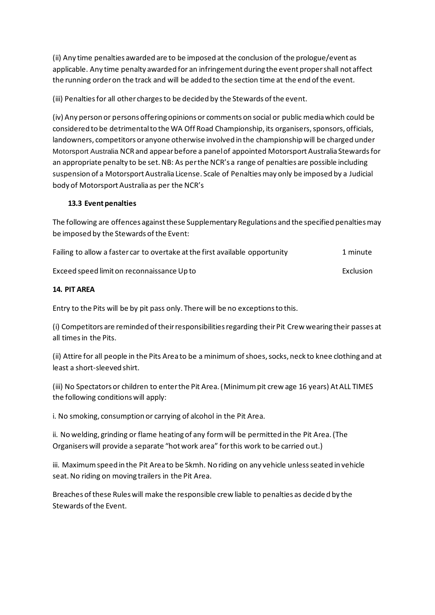(ii) Any time penalties awarded are to be imposed at the conclusion of the prologue/event as applicable. Any time penalty awarded for an infringement during the event proper shall not affect the running order on the track and will be added to the section time at the end of the event.

(iii) Penalties for all other charges to be decided by the Stewards of the event.

(iv) Any person or persons offering opinions or comments on social or public media which could be considered to be detrimental to the WA Off Road Championship, its organisers, sponsors, officials, landowners, competitors or anyone otherwise involved in the championship will be charged under Motorsport Australia NCR and appear before a panel of appointed Motorsport Australia Stewardsfor an appropriate penalty to be set. NB: As per the NCR's a range of penalties are possible including suspension of a Motorsport Australia License. Scale of Penalties may only be imposed by a Judicial body of Motorsport Australia as per the NCR's

# **13.3 Event penalties**

The following are offences against these Supplementary Regulations and the specified penalties may be imposed by the Stewards of the Event:

| Failing to allow a faster car to overtake at the first available opportunity | 1 minute |
|------------------------------------------------------------------------------|----------|
|------------------------------------------------------------------------------|----------|

Exceed speed limit on reconnaissance Up to Exclusion Exceed speed limit on reconnaissance Up to

**14. PIT AREA**

Entry to the Pits will be by pit pass only. There will be no exceptions to this.

(i) Competitors are reminded of their responsibilities regarding their Pit Crew wearing their passes at all times in the Pits.

(ii) Attire for all people in the Pits Area to be a minimum of shoes, socks, neck to knee clothing and at least a short-sleeved shirt.

(iii) No Spectators or children to enter the Pit Area. (Minimumpit crew age 16 years) At ALL TIMES the following conditions will apply:

i. No smoking, consumption or carrying of alcohol in the Pit Area.

ii. No welding, grinding or flame heating of any form will be permitted in the Pit Area. (The Organisers will provide a separate "hot work area" for this work to be carried out.)

iii. Maximum speed in the Pit Area to be 5kmh. No riding on any vehicle unless seated in vehicle seat. No riding on moving trailers in the Pit Area.

Breaches of these Rules will make the responsible crew liable to penalties as decided by the Stewards of the Event.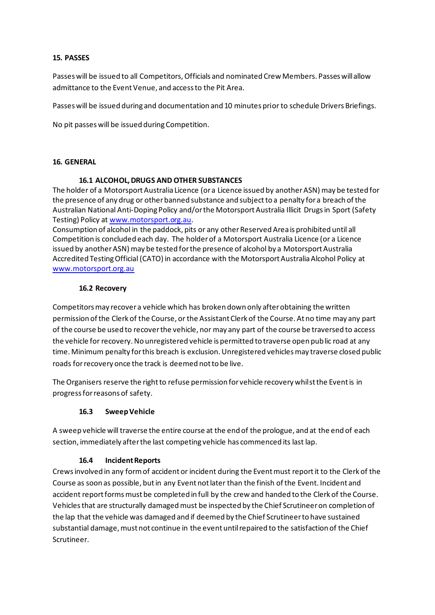#### **15. PASSES**

Passes will be issued to all Competitors, Officials and nominated Crew Members. Passes will allow admittance to the Event Venue, and access to the Pit Area.

Passes will be issued during and documentation and 10 minutes prior to schedule Drivers Briefings.

No pit passes will be issued during Competition.

#### **16. GENERAL**

#### **16.1 ALCOHOL, DRUGS AND OTHER SUBSTANCES**

The holder of a Motorsport Australia Licence (or a Licence issued by another ASN) may be tested for the presence of any drug or other banned substance and subject to a penalty for a breach of the Australian National Anti-Doping Policy and/or the Motorsport Australia Illicit Drugs in Sport (Safety Testing) Policy at [www.motorsport.org.au](http://www.motorsport.org.au/).

Consumption of alcohol in the paddock, pits or any other Reserved Area is prohibited until all Competition is concluded each day. The holder of a Motorsport Australia Licence (or a Licence issued by another ASN) may be tested for the presence of alcohol by a Motorsport Australia Accredited Testing Official (CATO) in accordance with the Motorsport Australia Alcohol Policy at [www.motorsport.org.au](http://www.motorsport.org.au/)

#### **16.2 Recovery**

Competitors may recover a vehicle which has broken down only after obtaining the written permission of the Clerk of the Course, or the Assistant Clerk of the Course. At no time may any part of the course be used to recover the vehicle, nor may any part of the course be traversed to access the vehicle for recovery. No unregistered vehicle is permitted to traverse open public road at any time. Minimum penalty for this breach is exclusion. Unregistered vehicles may traverse closed public roads for recovery once the track is deemed not to be live.

The Organisers reserve the right to refuse permission for vehicle recovery whilst the Event is in progress for reasons of safety.

# **16.3 Sweep Vehicle**

A sweep vehicle will traverse the entire course at the end of the prologue, and at the end of each section, immediately after the last competing vehicle has commenced its last lap.

# **16.4 Incident Reports**

Crews involved in any form of accident or incident during the Event must report it to the Clerk of the Course as soon as possible, but in any Event not later than the finish of the Event. Incident and accident report forms must be completed in full by the crew and handed to the Clerk of the Course. Vehicles that are structurally damaged must be inspected by the Chief Scrutineer on completion of the lap that the vehicle was damaged and if deemed by the Chief Scrutineer to have sustained substantial damage, must not continue in the event until repaired to the satisfaction of the Chief Scrutineer.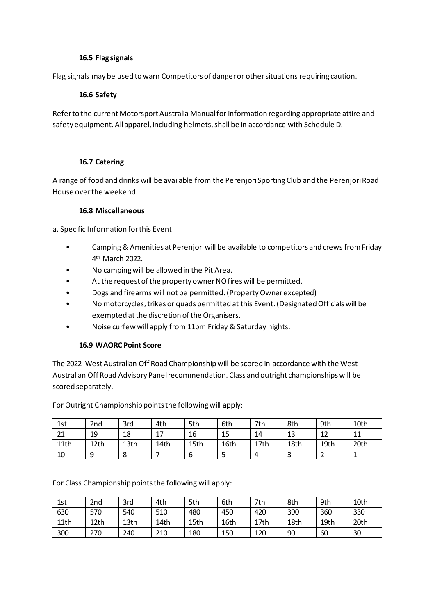#### **16.5 Flag signals**

Flag signals may be used to warn Competitors of danger or other situations requiring caution.

# **16.6 Safety**

Refer to the current Motorsport Australia Manual for information regarding appropriate attire and safety equipment. All apparel, including helmets, shall be in accordance with Schedule D.

# **16.7 Catering**

A range of food and drinks will be available from the Perenjori Sporting Club and the Perenjori Road House over the weekend.

#### **16.8 Miscellaneous**

a. Specific Information for this Event

- Camping & Amenities at Perenjori will be available to competitors and crews from Friday 4 th March 2022.
- No camping will be allowed in the Pit Area.
- At the request of the property owner NO fires will be permitted.
- Dogs and firearms will not be permitted. (Property Owner excepted)
- No motorcycles, trikes or quads permitted at this Event. (Designated Officials will be exempted at the discretion of the Organisers.
- Noise curfew will apply from 11pm Friday & Saturday nights.

# **16.9 WAORC Point Score**

The 2022 West Australian Off Road Championship will be scored in accordance with the West Australian Off Road Advisory Panel recommendation. Class and outright championships will be scored separately.

For Outright Championship points the following will apply:

| 1st  | 2 <sub>nd</sub> | 3rd  | 4th  | 5th  | 6th  | 7th      | 8th  | 9th      | 10th     |
|------|-----------------|------|------|------|------|----------|------|----------|----------|
| 21   | 19              | 18   | 17   | 16   | 15   | 14       | 13   | 17<br>┸᠘ | 11<br>ᆠᅶ |
| 11th | 12th            | 13th | 14th | 15th | 16th | 17th     | 18th | 19th     | 20th     |
| 10   | a               | 8    |      | ь    |      | $\Delta$ |      |          |          |

For Class Championship points the following will apply:

| 1st  | 2 <sub>nd</sub> | 3rd  | 4th  | 5th  | 6th  | 7th  | 8th  | 9th  | 10th |
|------|-----------------|------|------|------|------|------|------|------|------|
| 630  | 570             | 540  | 510  | 480  | 450  | 420  | 390  | 360  | 330  |
| 11th | 12th            | 13th | 14th | 15th | 16th | 17th | 18th | 19th | 20th |
| 300  | 270             | 240  | 210  | 180  | 150  | 120  | 90   | 60   | 30   |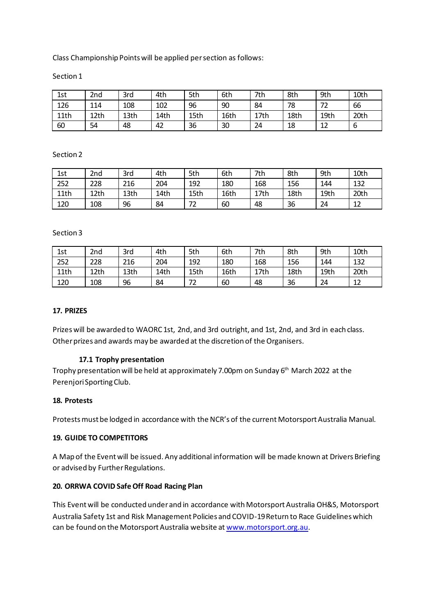Class Championship Points will be applied per section as follows:

#### Section 1

| 1st  | 2nd  | 3rd  | 4th  | 5th  | 6th  | 7th  | 8th  | 9th  | 10th |
|------|------|------|------|------|------|------|------|------|------|
| 126  | 114  | 108  | 102  | 96   | 90   | 84   | 78   | 72   | 66   |
| 11th | 12th | 13th | 14th | 15th | 16th | 17th | 18th | 19th | 20th |
| 60   | 54   | 48   | 42   | 36   | 30   | 24   | 18   | 17   |      |

#### Section 2

| 1st  | 2nd  | 3rd  | 4th  | 5th  | 6th  | 7th  | 8th  | 9th  | 10th |
|------|------|------|------|------|------|------|------|------|------|
| 252  | 228  | 216  | 204  | 192  | 180  | 168  | 156  | 144  | 132  |
| 11th | 12th | 13th | 14th | 15th | 16th | 17th | 18th | 19th | 20th |
| 120  | 108  | 96   | 84   | 72   | 60   | 48   | 36   | 24   | 12   |

#### Section 3

| 1st  | 2nd  | 3rd  | 4th  | 5th  | 6th  | 7th  | 8th  | 9th  | 10th    |
|------|------|------|------|------|------|------|------|------|---------|
| 252  | 228  | 216  | 204  | 192  | 180  | 168  | 156  | 144  | 132     |
| 11th | 12th | 13th | 14th | 15th | 16th | 17th | 18th | 19th | 20th    |
| 120  | 108  | 96   | 84   | 72   | 60   | 48   | 36   | 24   | 1つ<br>┸ |

#### **17. PRIZES**

Prizes will be awarded to WAORC 1st, 2nd, and 3rd outright, and 1st, 2nd, and 3rd in each class. Other prizes and awards may be awarded at the discretion of the Organisers.

# **17.1 Trophy presentation**

Trophy presentation will be held at approximately 7.00pm on Sunday 6<sup>th</sup> March 2022 at the Perenjori Sporting Club.

#### **18. Protests**

Protests must be lodged in accordance with the NCR's of the current Motorsport Australia Manual.

#### **19. GUIDE TO COMPETITORS**

A Map of the Event will be issued. Any additional information will be made known at Drivers Briefing or advised by Further Regulations.

# **20. ORRWA COVID Safe Off Road Racing Plan**

This Event will be conducted under and in accordance with Motorsport Australia OH&S, Motorsport Australia Safety 1st and Risk Management Policies and COVID-19 Return to Race Guidelines which can be found on the Motorsport Australia website a[t www.motorsport.org.au](http://www.motorsport.org.au/).